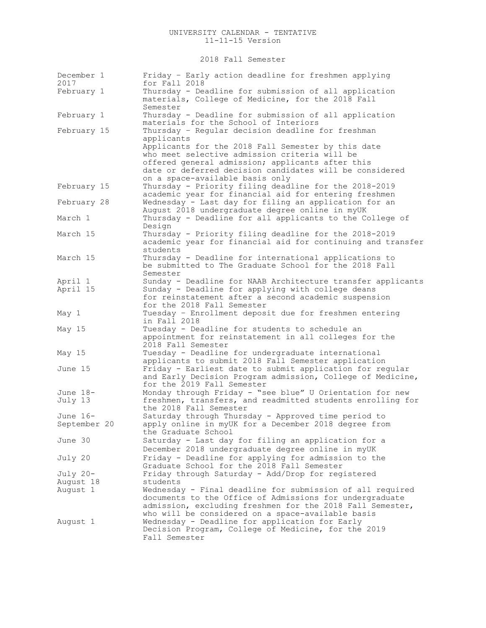# 2018 Fall Semester

| December 1<br>2017  | Friday - Early action deadline for freshmen applying<br>for Fall 2018                                            |
|---------------------|------------------------------------------------------------------------------------------------------------------|
| February 1          | Thursday - Deadline for submission of all application                                                            |
|                     | materials, College of Medicine, for the 2018 Fall<br>Semester                                                    |
| February 1          | Thursday - Deadline for submission of all application<br>materials for the School of Interiors                   |
| February 15         | Thursday - Regular decision deadline for freshman                                                                |
|                     | applicants                                                                                                       |
|                     | Applicants for the 2018 Fall Semester by this date                                                               |
|                     | who meet selective admission criteria will be                                                                    |
|                     | offered general admission; applicants after this                                                                 |
|                     | date or deferred decision candidates will be considered                                                          |
|                     | on a space-available basis only                                                                                  |
| February 15         | Thursday - Priority filing deadline for the 2018-2019                                                            |
| February 28         | academic year for financial aid for entering freshmen<br>Wednesday - Last day for filing an application for an   |
|                     | August 2018 undergraduate degree online in myUK                                                                  |
| March 1             | Thursday - Deadline for all applicants to the College of                                                         |
|                     | Design                                                                                                           |
| March 15            | Thursday - Priority filing deadline for the 2018-2019                                                            |
|                     | academic year for financial aid for continuing and transfer                                                      |
|                     | students                                                                                                         |
| March 15            | Thursday - Deadline for international applications to                                                            |
|                     | be submitted to The Graduate School for the 2018 Fall                                                            |
|                     | Semester                                                                                                         |
| April 1<br>April 15 | Sunday - Deadline for NAAB Architecture transfer applicants<br>Sunday - Deadline for applying with college deans |
|                     | for reinstatement after a second academic suspension                                                             |
|                     | for the 2018 Fall Semester                                                                                       |
| May 1               | Tuesday - Enrollment deposit due for freshmen entering                                                           |
|                     | in Fall 2018                                                                                                     |
| May 15              | Tuesday - Deadline for students to schedule an                                                                   |
|                     | appointment for reinstatement in all colleges for the                                                            |
|                     | 2018 Fall Semester                                                                                               |
| May 15              | Tuesday - Deadline for undergraduate international<br>applicants to submit 2018 Fall Semester application        |
| June 15             | Friday - Earliest date to submit application for regular                                                         |
|                     | and Early Decision Program admission, College of Medicine,                                                       |
|                     | for the 2019 Fall Semester                                                                                       |
| June 18-            | Monday through Friday - "see blue" U Orientation for new                                                         |
| July 13             | freshmen, transfers, and readmitted students enrolling for                                                       |
|                     | the 2018 Fall Semester                                                                                           |
| June 16-            | Saturday through Thursday - Approved time period to                                                              |
| September 20        | apply online in myUK for a December 2018 degree from<br>the Graduate School                                      |
| June 30             | Saturday - Last day for filing an application for a                                                              |
|                     | December 2018 undergraduate degree online in myUK                                                                |
| July 20             | Friday - Deadline for applying for admission to the                                                              |
|                     | Graduate School for the 2018 Fall Semester                                                                       |
| July 20-            | Friday through Saturday - Add/Drop for registered                                                                |
| August 18           | students                                                                                                         |
| August 1            | Wednesday - Final deadline for submission of all required                                                        |
|                     | documents to the Office of Admissions for undergraduate                                                          |
|                     | admission, excluding freshmen for the 2018 Fall Semester,                                                        |
|                     | who will be considered on a space-available basis                                                                |
| August 1            | Wednesday - Deadline for application for Early<br>Decision Program, College of Medicine, for the 2019            |
|                     | Fall Semester                                                                                                    |
|                     |                                                                                                                  |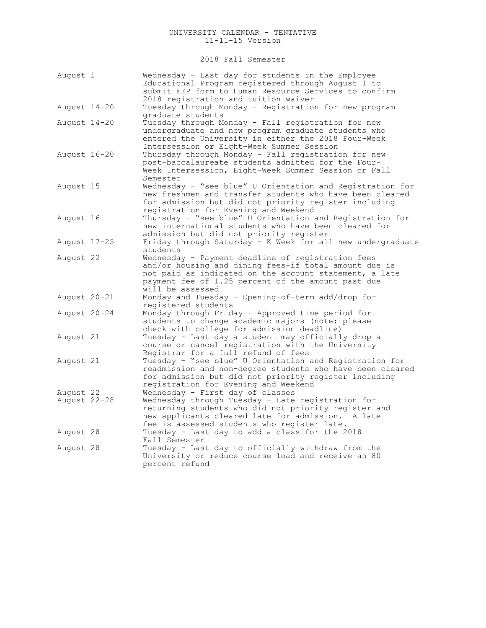2018 Fall Semester

| August 1                  | Wednesday - Last day for students in the Employee<br>Educational Program registered through August 1 to<br>submit EEP form to Human Resource Services to confirm<br>2018 registration and tuition waiver                                          |
|---------------------------|---------------------------------------------------------------------------------------------------------------------------------------------------------------------------------------------------------------------------------------------------|
| August 14-20              | Tuesday through Monday - Registration for new program<br>graduate students                                                                                                                                                                        |
| August 14-20              | Tuesday through Monday - Fall registration for new<br>undergraduate and new program graduate students who<br>entered the University in either the 2018 Four-Week<br>Intersession or Eight-Week Summer Session                                     |
| August 16-20              | Thursday through Monday - Fall registration for new<br>post-baccalaureate students admitted for the Four-<br>Week Intersession, Eight-Week Summer Session or Fall<br>Semester                                                                     |
| August 15                 | Wednesday - "see blue" U Orientation and Registration for<br>new freshmen and transfer students who have been cleared<br>for admission but did not priority register including<br>registration for Evening and Weekend                            |
| August 16                 | Thursday - "see blue" U Orientation and Registration for<br>new international students who have been cleared for<br>admission but did not priority register                                                                                       |
| August 17-25              | Friday through Saturday - K Week for all new undergraduate<br>students                                                                                                                                                                            |
| August 22                 | Wednesday - Payment deadline of registration fees<br>and/or housing and dining fees-if total amount due is<br>not paid as indicated on the account statement, a late<br>payment fee of 1.25 percent of the amount past due<br>will be assessed    |
| August 20-21              | Monday and Tuesday - Opening-of-term add/drop for<br>registered students                                                                                                                                                                          |
| August 20-24              | Monday through Friday - Approved time period for<br>students to change academic majors (note: please<br>check with college for admission deadline)                                                                                                |
| August 21                 | Tuesday - Last day a student may officially drop a<br>course or cancel registration with the University<br>Registrar for a full refund of fees                                                                                                    |
| August 21                 | Tuesday - "see blue" U Orientation and Registration for<br>readmission and non-degree students who have been cleared<br>for admission but did not priority register including<br>registration for Evening and Weekend                             |
| August 22<br>August 22-28 | Wednesday - First day of classes<br>Wednesday through Tuesday - Late registration for<br>returning students who did not priority register and<br>new applicants cleared late for admission. A late<br>fee is assessed students who register late. |
| August 28                 | Tuesday - Last day to add a class for the 2018<br>Fall Semester                                                                                                                                                                                   |
| August 28                 | Tuesday - Last day to officially withdraw from the<br>University or reduce course load and receive an 80<br>percent refund                                                                                                                        |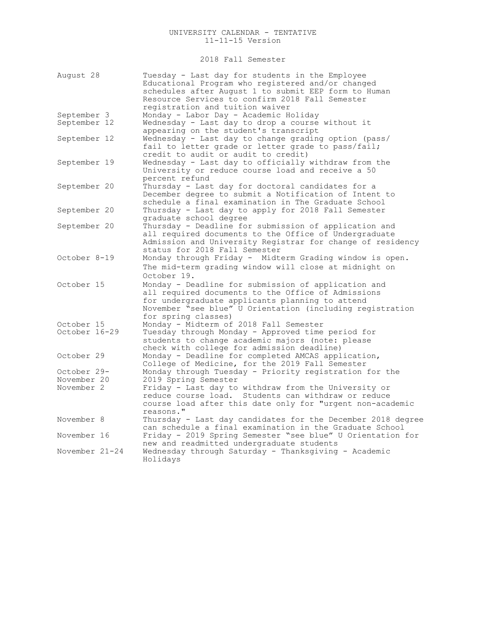2018 Fall Semester

| August 28                 | Tuesday - Last day for students in the Employee<br>Educational Program who registered and/or changed<br>schedules after August 1 to submit EEP form to Human |
|---------------------------|--------------------------------------------------------------------------------------------------------------------------------------------------------------|
|                           | Resource Services to confirm 2018 Fall Semester<br>registration and tuition waiver                                                                           |
| September 3               | Monday - Labor Day - Academic Holiday                                                                                                                        |
| September 12              | Wednesday - Last day to drop a course without it                                                                                                             |
|                           | appearing on the student's transcript                                                                                                                        |
| September 12              | Wednesday - Last day to change grading option (pass/<br>fail to letter grade or letter grade to pass/fail;<br>credit to audit or audit to credit)            |
| September 19              | Wednesday - Last day to officially withdraw from the                                                                                                         |
|                           | University or reduce course load and receive a 50                                                                                                            |
|                           | percent refund                                                                                                                                               |
| September 20              | Thursday - Last day for doctoral candidates for a<br>December degree to submit a Notification of Intent to                                                   |
|                           | schedule a final examination in The Graduate School                                                                                                          |
| September 20              | Thursday - Last day to apply for 2018 Fall Semester                                                                                                          |
|                           | graduate school degree                                                                                                                                       |
| September 20              | Thursday - Deadline for submission of application and                                                                                                        |
|                           | all required documents to the Office of Undergraduate                                                                                                        |
|                           | Admission and University Registrar for change of residency                                                                                                   |
|                           | status for 2018 Fall Semester                                                                                                                                |
| October 8-19              | Monday through Friday - Midterm Grading window is open.                                                                                                      |
|                           | The mid-term grading window will close at midnight on                                                                                                        |
|                           | October 19.                                                                                                                                                  |
| October 15                | Monday - Deadline for submission of application and                                                                                                          |
|                           | all required documents to the Office of Admissions                                                                                                           |
|                           | for undergraduate applicants planning to attend<br>November "see blue" U Orientation (including registration                                                 |
|                           | for spring classes)                                                                                                                                          |
| October 15                | Monday - Midterm of 2018 Fall Semester                                                                                                                       |
| October 16-29             | Tuesday through Monday - Approved time period for                                                                                                            |
|                           | students to change academic majors (note: please                                                                                                             |
|                           | check with college for admission deadline)                                                                                                                   |
| October 29                | Monday - Deadline for completed AMCAS application,                                                                                                           |
|                           | College of Medicine, for the 2019 Fall Semester                                                                                                              |
| October 29-               | Monday through Tuesday - Priority registration for the                                                                                                       |
| November 20<br>November 2 | 2019 Spring Semester<br>Friday - Last day to withdraw from the University or                                                                                 |
|                           | reduce course load. Students can withdraw or reduce                                                                                                          |
|                           | course load after this date only for "urgent non-academic                                                                                                    |
|                           | reasons."                                                                                                                                                    |
| November 8                | Thursday - Last day candidates for the December 2018 degree                                                                                                  |
|                           | can schedule a final examination in the Graduate School                                                                                                      |
| November 16               | Friday - 2019 Spring Semester "see blue" U Orientation for                                                                                                   |
|                           | new and readmitted undergraduate students                                                                                                                    |
| November 21-24            | Wednesday through Saturday - Thanksgiving - Academic<br>Holidays                                                                                             |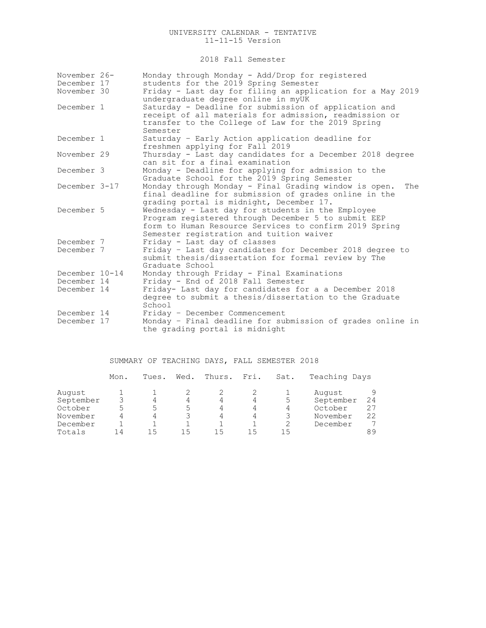2018 Fall Semester

| November 26-               | Monday through Monday - Add/Drop for registered                                                                                                                       |  |  |  |  |  |
|----------------------------|-----------------------------------------------------------------------------------------------------------------------------------------------------------------------|--|--|--|--|--|
| December 17<br>November 30 | students for the 2019 Spring Semester                                                                                                                                 |  |  |  |  |  |
|                            | Friday - Last day for filing an application for a May 2019<br>undergraduate degree online in myUK                                                                     |  |  |  |  |  |
| December 1                 | Saturday - Deadline for submission of application and<br>receipt of all materials for admission, readmission or<br>transfer to the College of Law for the 2019 Spring |  |  |  |  |  |
| December 1                 | Semester                                                                                                                                                              |  |  |  |  |  |
|                            | Saturday - Early Action application deadline for<br>freshmen applying for Fall 2019                                                                                   |  |  |  |  |  |
| November 29                | Thursday - Last day candidates for a December 2018 degree<br>can sit for a final examination                                                                          |  |  |  |  |  |
| December 3                 | Monday - Deadline for applying for admission to the<br>Graduate School for the 2019 Spring Semester                                                                   |  |  |  |  |  |
| December 3-17              | Monday through Monday - Final Grading window is open.<br>The<br>final deadline for submission of grades online in the<br>grading portal is midnight, December 17.     |  |  |  |  |  |
| December 5                 | Wednesday - Last day for students in the Employee<br>Program registered through December 5 to submit EEP<br>form to Human Resource Services to confirm 2019 Spring    |  |  |  |  |  |
| December 7                 | Semester registration and tuition waiver<br>Friday - Last day of classes                                                                                              |  |  |  |  |  |
| December 7                 | Friday - Last day candidates for December 2018 degree to<br>submit thesis/dissertation for formal review by The<br>Graduate School                                    |  |  |  |  |  |
| December 10-14             | Monday through Friday - Final Examinations                                                                                                                            |  |  |  |  |  |
| December 14                | Friday - End of 2018 Fall Semester                                                                                                                                    |  |  |  |  |  |
| December 14                | Friday- Last day for candidates for a a December 2018<br>degree to submit a thesis/dissertation to the Graduate<br>School                                             |  |  |  |  |  |
| December 14                | Friday - December Commencement                                                                                                                                        |  |  |  |  |  |
| December 17                | Monday - Final deadline for submission of grades online in<br>the grading portal is midnight                                                                          |  |  |  |  |  |

# SUMMARY OF TEACHING DAYS, FALL SEMESTER 2018

|           | Mon. | Tues. | Wed. | Thurs. | Fri. | Sat. | Teaching Days |    |
|-----------|------|-------|------|--------|------|------|---------------|----|
| August    |      |       |      |        |      |      | August        | 9  |
| September |      |       | 4    | 4      | 4    | 5    | September     | 24 |
| October   | ς.   |       |      | 4      | 4    | 4    | October       | 27 |
| November  |      | 4     |      | 4      | 4    |      | November      | 22 |
| December  |      |       |      |        |      |      | December      | 7  |
| Totals    | 14   | ל ו   |      |        | 15   | 15   |               | 89 |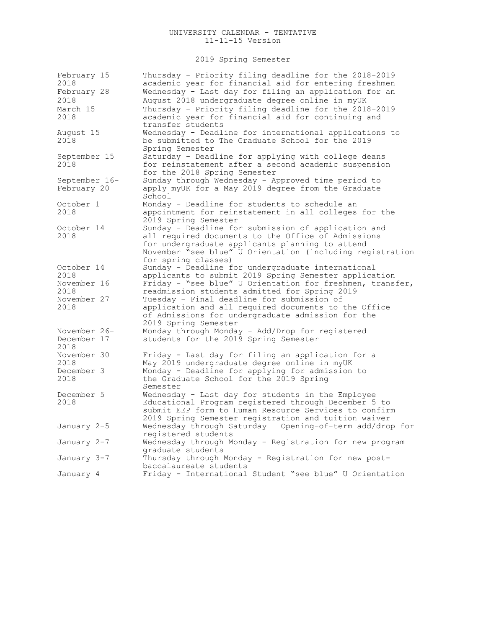# 2019 Spring Semester

| February 15<br>2018                 | Thursday - Priority filing deadline for the 2018-2019<br>academic year for financial aid for entering freshmen                                                                                                                                   |
|-------------------------------------|--------------------------------------------------------------------------------------------------------------------------------------------------------------------------------------------------------------------------------------------------|
| February 28<br>2018                 | Wednesday - Last day for filing an application for an<br>August 2018 undergraduate degree online in myUK                                                                                                                                         |
| March 15<br>2018                    | Thursday - Priority filing deadline for the 2018-2019<br>academic year for financial aid for continuing and<br>transfer students                                                                                                                 |
| August 15<br>2018                   | Wednesday - Deadline for international applications to<br>be submitted to The Graduate School for the 2019<br>Spring Semester                                                                                                                    |
| September 15<br>2018                | Saturday - Deadline for applying with college deans<br>for reinstatement after a second academic suspension<br>for the 2018 Spring Semester                                                                                                      |
| September 16-<br>February 20        | Sunday through Wednesday - Approved time period to<br>apply myUK for a May 2019 degree from the Graduate<br>School                                                                                                                               |
| October 1<br>2018                   | Monday - Deadline for students to schedule an<br>appointment for reinstatement in all colleges for the<br>2019 Spring Semester                                                                                                                   |
| October 14<br>2018                  | Sunday - Deadline for submission of application and<br>all required documents to the Office of Admissions<br>for undergraduate applicants planning to attend<br>November "see blue" U Orientation (including registration<br>for spring classes) |
| October 14<br>2018<br>November 16   | Sunday - Deadline for undergraduate international<br>applicants to submit 2019 Spring Semester application<br>Friday - "see blue" U Orientation for freshmen, transfer,                                                                          |
| 2018<br>November 27<br>2018         | readmission students admitted for Spring 2019<br>Tuesday - Final deadline for submission of<br>application and all required documents to the Office<br>of Admissions for undergraduate admission for the<br>2019 Spring Semester                 |
| November 26-<br>December 17<br>2018 | Monday through Monday - Add/Drop for registered<br>students for the 2019 Spring Semester                                                                                                                                                         |
| November 30<br>2018                 | Friday - Last day for filing an application for a<br>May 2019 undergraduate degree online in myUK                                                                                                                                                |
| December 3<br>2018                  | Monday - Deadline for applying for admission to<br>the Graduate School for the 2019 Spring<br>Semester                                                                                                                                           |
| December 5<br>2018                  | Wednesday - Last day for students in the Employee<br>Educational Program registered through December 5 to<br>submit EEP form to Human Resource Services to confirm<br>2019 Spring Semester registration and tuition waiver                       |
| January 2-5                         | Wednesday through Saturday - Opening-of-term add/drop for<br>registered students                                                                                                                                                                 |
| January 2-7                         | Wednesday through Monday - Registration for new program<br>graduate students                                                                                                                                                                     |
| January 3-7                         | Thursday through Monday - Registration for new post-<br>baccalaureate students                                                                                                                                                                   |
| January 4                           | Friday - International Student "see blue" U Orientation                                                                                                                                                                                          |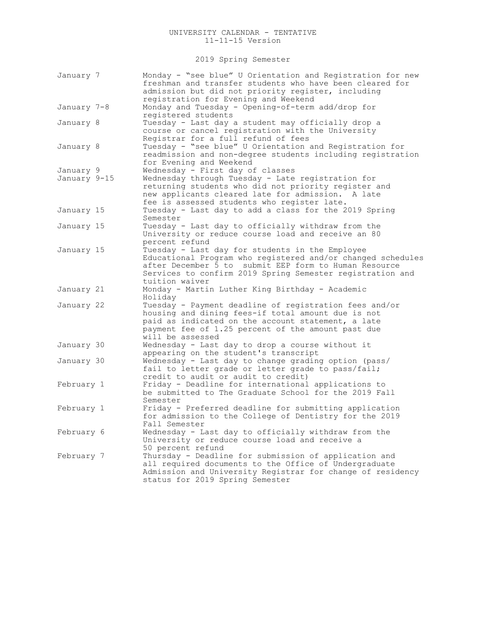2019 Spring Semester

| January 7    | Monday - "see blue" U Orientation and Registration for new<br>freshman and transfer students who have been cleared for<br>admission but did not priority register, including<br>registration for Evening and Weekend                                   |
|--------------|--------------------------------------------------------------------------------------------------------------------------------------------------------------------------------------------------------------------------------------------------------|
| January 7–8  | Monday and Tuesday - Opening-of-term add/drop for<br>registered students                                                                                                                                                                               |
| January 8    | Tuesday - Last day a student may officially drop a<br>course or cancel registration with the University<br>Registrar for a full refund of fees                                                                                                         |
| January 8    | Tuesday - "see blue" U Orientation and Registration for<br>readmission and non-degree students including registration<br>for Evening and Weekend                                                                                                       |
| January 9    | Wednesday - First day of classes                                                                                                                                                                                                                       |
| January 9-15 | Wednesday through Tuesday - Late registration for<br>returning students who did not priority register and<br>new applicants cleared late for admission. A late<br>fee is assessed students who register late.                                          |
| January 15   | Tuesday - Last day to add a class for the 2019 Spring<br>Semester                                                                                                                                                                                      |
| January 15   | Tuesday - Last day to officially withdraw from the<br>University or reduce course load and receive an 80<br>percent refund                                                                                                                             |
| January 15   | Tuesday - Last day for students in the Employee<br>Educational Program who registered and/or changed schedules<br>after December 5 to submit EEP form to Human Resource<br>Services to confirm 2019 Spring Semester registration and<br>tuition waiver |
| January 21   | Monday - Martin Luther King Birthday - Academic<br>Holiday                                                                                                                                                                                             |
| January 22   | Tuesday - Payment deadline of registration fees and/or<br>housing and dining fees-if total amount due is not<br>paid as indicated on the account statement, a late<br>payment fee of 1.25 percent of the amount past due<br>will be assessed           |
| January 30   | Wednesday - Last day to drop a course without it<br>appearing on the student's transcript                                                                                                                                                              |
| January 30   | Wednesday - Last day to change grading option (pass/<br>fail to letter grade or letter grade to pass/fail;<br>credit to audit or audit to credit)                                                                                                      |
| February 1   | Friday - Deadline for international applications to<br>be submitted to The Graduate School for the 2019 Fall<br>Semester                                                                                                                               |
| February 1   | Friday - Preferred deadline for submitting application<br>for admission to the College of Dentistry for the 2019<br>Fall Semester                                                                                                                      |
| February 6   | Wednesday - Last day to officially withdraw from the<br>University or reduce course load and receive a<br>50 percent refund                                                                                                                            |
| February 7   | Thursday - Deadline for submission of application and<br>all required documents to the Office of Undergraduate<br>Admission and University Registrar for change of residency<br>status for 2019 Spring Semester                                        |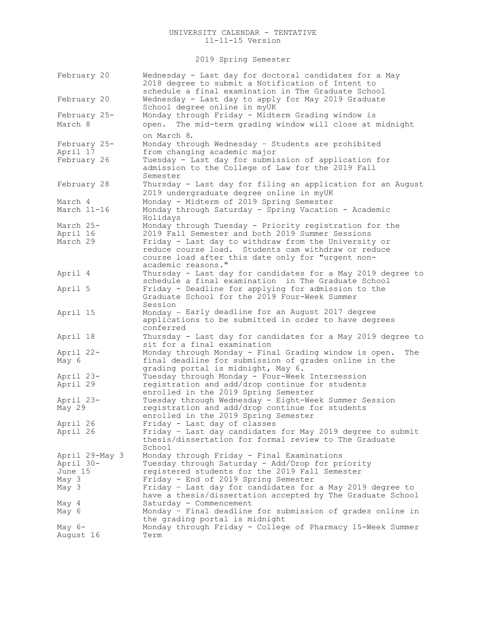2019 Spring Semester

| February 20                                              | Wednesday - Last day for doctoral candidates for a May<br>2018 degree to submit a Notification of Intent to<br>schedule a final examination in The Graduate School                                                                                                                                   |
|----------------------------------------------------------|------------------------------------------------------------------------------------------------------------------------------------------------------------------------------------------------------------------------------------------------------------------------------------------------------|
| February 20                                              | Wednesday - Last day to apply for May 2019 Graduate<br>School degree online in myUK                                                                                                                                                                                                                  |
| February 25-<br>March 8                                  | Monday through Friday - Midterm Grading window is<br>The mid-term grading window will close at midnight<br>open.                                                                                                                                                                                     |
| February 25-<br>April 17                                 | on March 8.<br>Monday through Wednesday - Students are prohibited<br>from changing academic major                                                                                                                                                                                                    |
| February 26                                              | Tuesday - Last day for submission of application for<br>admission to the College of Law for the 2019 Fall<br>Semester                                                                                                                                                                                |
| February 28                                              | Thursday - Last day for filing an application for an August<br>2019 undergraduate degree online in myUK                                                                                                                                                                                              |
| March 4<br>March 11-16                                   | Monday - Midterm of 2019 Spring Semester<br>Monday through Saturday - Spring Vacation - Academic<br>Holidays                                                                                                                                                                                         |
| March 25-<br>April 16<br>March 29                        | Monday through Tuesday - Priority registration for the<br>2019 Fall Semester and both 2019 Summer Sessions<br>Friday - Last day to withdraw from the University or<br>reduce course load. Students cam withdraw or reduce<br>course load after this date only for "urgent non-<br>academic reasons." |
| April 4                                                  | Thursday - Last day for candidates for a May 2019 degree to<br>schedule a final examination in The Graduate School                                                                                                                                                                                   |
| April 5                                                  | Friday - Deadline for applying for admission to the<br>Graduate School for the 2019 Four-Week Summer<br>Session                                                                                                                                                                                      |
| April 15                                                 | Monday - Early deadline for an August 2017 degree<br>applications to be submitted in order to have degrees<br>conferred                                                                                                                                                                              |
| April 18                                                 | Thursday - Last day for candidates for a May 2019 degree to<br>sit for a final examination                                                                                                                                                                                                           |
| April 22-<br>May 6                                       | Monday through Monday - Final Grading window is open.<br>The<br>final deadline for submission of grades online in the<br>grading portal is midnight, May 6.                                                                                                                                          |
| April 23-<br>April 29                                    | Tuesday through Monday - Four-Week Intersession<br>registration and add/drop continue for students<br>enrolled in the 2019 Spring Semester                                                                                                                                                           |
| April 23-<br>May 29                                      | Tuesday through Wednesday - Eight-Week Summer Session<br>registration and add/drop continue for students<br>enrolled in the 2019 Spring Semester                                                                                                                                                     |
| April 26<br>April 26                                     | Friday - Last day of classes<br>Friday - Last day candidates for May 2019 degree to submit<br>thesis/dissertation for formal review to The Graduate<br>School                                                                                                                                        |
| April 29-May 3<br>April 30-<br>June 15<br>May 3<br>May 3 | Monday through Friday - Final Examinations<br>Tuesday through Saturday - Add/Drop for priority<br>registered students for the 2019 Fall Semester<br>Friday - End of 2019 Spring Semester<br>Friday - Last day for candidates for a May 2019 degree to                                                |
| May 4                                                    | have a thesis/dissertation accepted by The Graduate School<br>Saturday - Commencement                                                                                                                                                                                                                |
| May 6                                                    | Monday - Final deadline for submission of grades online in<br>the grading portal is midnight                                                                                                                                                                                                         |
| May $6-$<br>August 16                                    | Monday through Friday - College of Pharmacy 15-Week Summer<br>Term                                                                                                                                                                                                                                   |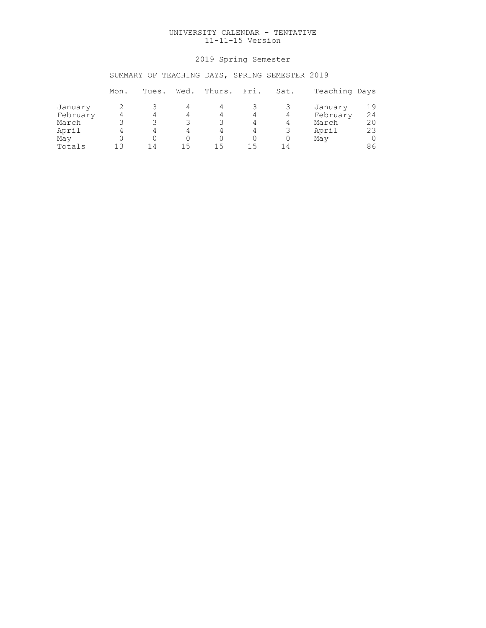# 2019 Spring Semester

# SUMMARY OF TEACHING DAYS, SPRING SEMESTER 2019

|                     | Mon. | Tues. | Wed. | Thurs. | Fri. | Sat. | Teaching Days       |          |
|---------------------|------|-------|------|--------|------|------|---------------------|----------|
| January<br>February |      | 4     | 4    |        |      | 4    | January<br>February | 19<br>24 |
| March               |      |       |      |        |      | 4    | March               | 20       |
| April               |      | 4     | 4    | 4      |      |      | April               | 23       |
| May                 |      |       |      |        |      |      | May                 |          |
| Totals              | 1 ว  | 14    | 15   | 15     | 15   | 14   |                     | 86       |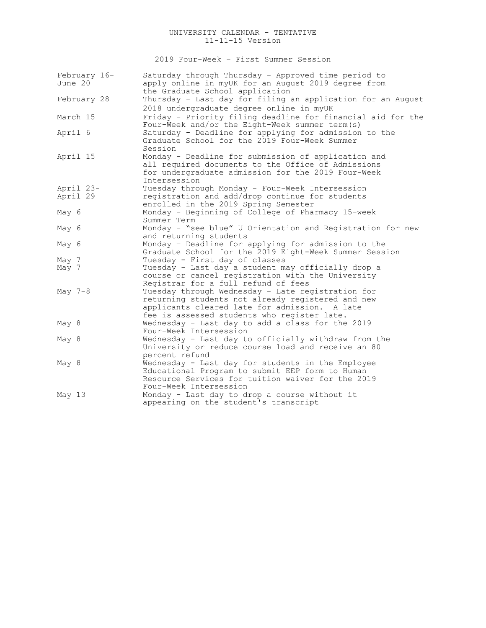2019 Four-Week – First Summer Session

| February 16-<br>June 20 | Saturday through Thursday - Approved time period to<br>apply online in myUK for an August 2019 degree from<br>the Graduate School application                                                          |
|-------------------------|--------------------------------------------------------------------------------------------------------------------------------------------------------------------------------------------------------|
| February 28             | Thursday - Last day for filing an application for an August<br>2018 undergraduate degree online in myUK                                                                                                |
| March 15                | Friday - Priority filing deadline for financial aid for the<br>Four-Week and/or the Eight-Week summer term (s)                                                                                         |
| April 6                 | Saturday - Deadline for applying for admission to the<br>Graduate School for the 2019 Four-Week Summer<br>Session                                                                                      |
| April 15                | Monday - Deadline for submission of application and<br>all required documents to the Office of Admissions<br>for undergraduate admission for the 2019 Four-Week<br>Intersession                        |
| April 23-<br>April 29   | Tuesday through Monday - Four-Week Intersession<br>registration and add/drop continue for students<br>enrolled in the 2019 Spring Semester                                                             |
| May 6                   | Monday - Beginning of College of Pharmacy 15-week<br>Summer Term                                                                                                                                       |
| May 6                   | Monday - "see blue" U Orientation and Registration for new<br>and returning students                                                                                                                   |
| May 6                   | Monday - Deadline for applying for admission to the<br>Graduate School for the 2019 Eight-Week Summer Session                                                                                          |
| May 7<br>May 7          | Tuesday - First day of classes<br>Tuesday - Last day a student may officially drop a<br>course or cancel registration with the University<br>Registrar for a full refund of fees                       |
| May 7-8                 | Tuesday through Wednesday - Late registration for<br>returning students not already registered and new<br>applicants cleared late for admission. A late<br>fee is assessed students who register late. |
| May 8                   | Wednesday - Last day to add a class for the 2019<br>Four-Week Intersession                                                                                                                             |
| May 8                   | Wednesday - Last day to officially withdraw from the<br>University or reduce course load and receive an 80<br>percent refund                                                                           |
| May 8                   | Wednesday - Last day for students in the Employee<br>Educational Program to submit EEP form to Human<br>Resource Services for tuition waiver for the 2019<br>Four-Week Intersession                    |
| May 13                  | Monday - Last day to drop a course without it<br>appearing on the student's transcript                                                                                                                 |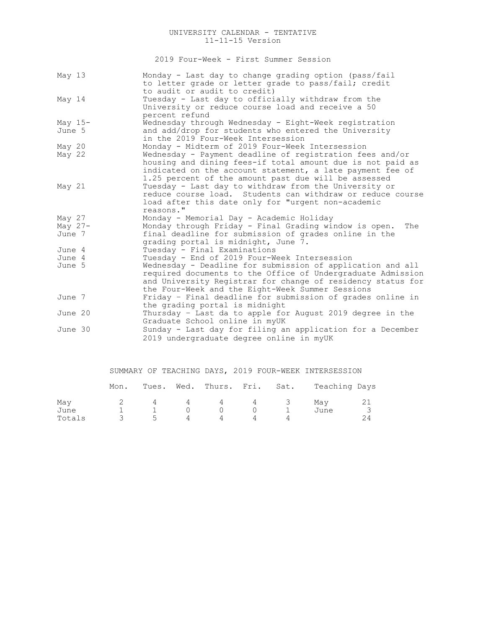2019 Four-Week - First Summer Session

| May $13$  | Monday - Last day to change grading option (pass/fail<br>to letter grade or letter grade to pass/fail; credit |
|-----------|---------------------------------------------------------------------------------------------------------------|
|           | to audit or audit to credit)                                                                                  |
| May 14    | Tuesday - Last day to officially withdraw from the                                                            |
|           | University or reduce course load and receive a 50                                                             |
|           | percent refund                                                                                                |
| May $15-$ | Wednesday through Wednesday - Eight-Week registration                                                         |
| June 5    | and add/drop for students who entered the University                                                          |
|           | in the 2019 Four-Week Intersession                                                                            |
| May 20    | Monday - Midterm of 2019 Four-Week Intersession                                                               |
| May $22$  | Wednesday - Payment deadline of registration fees and/or                                                      |
|           | housing and dining fees-if total amount due is not paid as                                                    |
|           | indicated on the account statement, a late payment fee of                                                     |
|           | 1.25 percent of the amount past due will be assessed                                                          |
| May $21$  | Tuesday - Last day to withdraw from the University or                                                         |
|           | reduce course load. Students can withdraw or reduce course                                                    |
|           | load after this date only for "urgent non-academic                                                            |
|           | reasons."                                                                                                     |
| May 27    | Monday - Memorial Day - Academic Holiday                                                                      |
| May $27-$ | Monday through Friday - Final Grading window is open.<br>The                                                  |
| June 7    | final deadline for submission of grades online in the                                                         |
|           | grading portal is midnight, June 7.                                                                           |
| June 4    | Tuesday - Final Examinations                                                                                  |
| June 4    | Tuesday - End of 2019 Four-Week Intersession                                                                  |
| June 5    | Wednesday - Deadline for submission of application and all                                                    |
|           | required documents to the Office of Undergraduate Admission                                                   |
|           | and University Registrar for change of residency status for                                                   |
|           | the Four-Week and the Eight-Week Summer Sessions                                                              |
| June 7    | Friday - Final deadline for submission of grades online in                                                    |
|           | the grading portal is midnight                                                                                |
| June 20   | Thursday - Last da to apple for August 2019 degree in the                                                     |
|           | Graduate School online in myUK                                                                                |
| June 30   | Sunday - Last day for filing an application for a December                                                    |
|           | 2019 undergraduate degree online in myUK                                                                      |
|           |                                                                                                               |

|  |  |  |  |  |  | SUMMARY OF TEACHING DAYS, 2019 FOUR-WEEK INTERSESSION |
|--|--|--|--|--|--|-------------------------------------------------------|
|--|--|--|--|--|--|-------------------------------------------------------|

|        | Mon. |          |                |          |          |       | Tues. Wed. Thurs. Fri. Sat. Teaching Days |  |
|--------|------|----------|----------------|----------|----------|-------|-------------------------------------------|--|
| May    |      | 4        | $\overline{4}$ |          |          | 4 4 3 | May                                       |  |
| June   |      | $\sim$ 1 | $\cap$         | $\Omega$ | $\Omega$ |       | June                                      |  |
| Totals |      | 5        | 4              |          |          |       |                                           |  |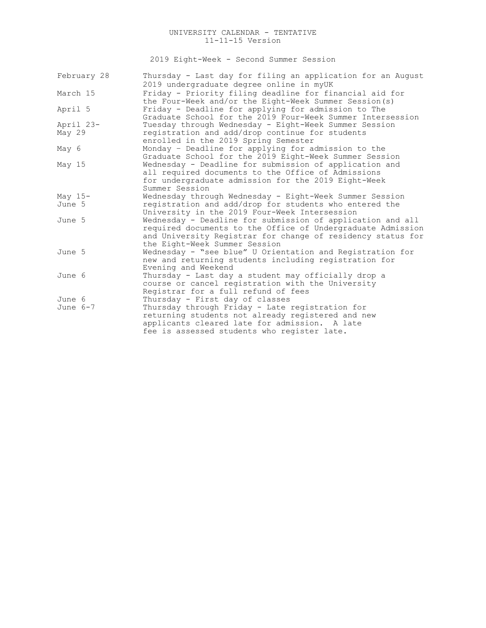2019 Eight-Week - Second Summer Session

| February 28 | Thursday - Last day for filing an application for an August |
|-------------|-------------------------------------------------------------|
|             | 2019 undergraduate degree online in myUK                    |
| March 15    | Friday - Priority filing deadline for financial aid for     |
|             | the Four-Week and/or the Eight-Week Summer Session(s)       |
| April 5     | Friday - Deadline for applying for admission to The         |
|             | Graduate School for the 2019 Four-Week Summer Intersession  |
| April 23-   | Tuesday through Wednesday - Eight-Week Summer Session       |
| May 29      | registration and add/drop continue for students             |
|             | enrolled in the 2019 Spring Semester                        |
| May 6       | Monday - Deadline for applying for admission to the         |
|             | Graduate School for the 2019 Eight-Week Summer Session      |
| May $15$    | Wednesday - Deadline for submission of application and      |
|             | all required documents to the Office of Admissions          |
|             | for undergraduate admission for the 2019 Eight-Week         |
|             | Summer Session                                              |
| May $15-$   | Wednesday through Wednesday - Eight-Week Summer Session     |
| June 5      | registration and add/drop for students who entered the      |
|             | University in the 2019 Four-Week Intersession               |
| June 5      | Wednesday - Deadline for submission of application and all  |
|             | required documents to the Office of Undergraduate Admission |
|             | and University Registrar for change of residency status for |
|             | the Eight-Week Summer Session                               |
| June 5      | Wednesday - "see blue" U Orientation and Registration for   |
|             | new and returning students including registration for       |
|             | Evening and Weekend                                         |
| June 6      | Thursday - Last day a student may officially drop a         |
|             | course or cancel registration with the University           |
|             | Registrar for a full refund of fees                         |
| June 6      | Thursday - First day of classes                             |
| June $6-7$  | Thursday through Friday - Late registration for             |
|             | returning students not already registered and new           |
|             | applicants cleared late for admission. A late               |
|             | fee is assessed students who register late.                 |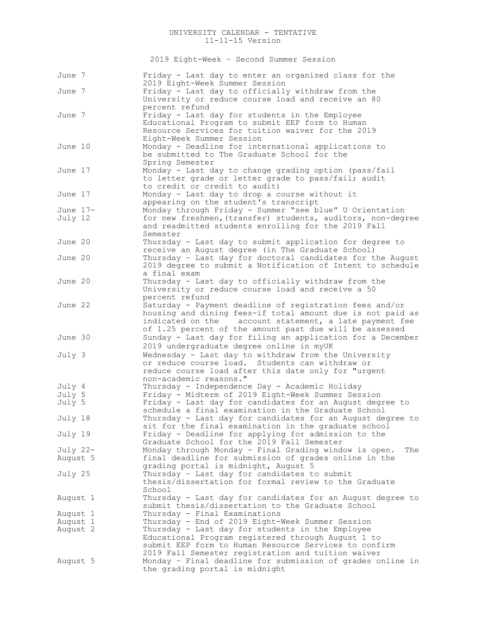2019 Eight-Week – Second Summer Session

| June 7   | Friday - Last day to enter an organized class for the<br>2019 Eight-Week Summer Session                                                                                                                                                    |
|----------|--------------------------------------------------------------------------------------------------------------------------------------------------------------------------------------------------------------------------------------------|
| June 7   | Friday - Last day to officially withdraw from the<br>University or reduce course load and receive an 80                                                                                                                                    |
| June 7   | percent refund<br>Friday - Last day for students in the Employee<br>Educational Program to submit EEP form to Human<br>Resource Services for tuition waiver for the 2019<br>Eight-Week Summer Session                                      |
| June 10  | Monday - Deadline for international applications to<br>be submitted to The Graduate School for the<br>Spring Semester                                                                                                                      |
| June 17  | Monday - Last day to change grading option (pass/fail<br>to letter grade or letter grade to pass/fail; audit<br>to credit or credit to audit)                                                                                              |
| June 17  | Monday - Last day to drop a course without it<br>appearing on the student's transcript                                                                                                                                                     |
| June 17- | Monday through Friday - Summer "see blue" U Orientation                                                                                                                                                                                    |
| July 12  | for new freshmen, (transfer) students, auditors, non-degree<br>and readmitted students enrolling for the 2019 Fall<br>Semester                                                                                                             |
| June 20  | Thursday - Last day to submit application for degree to<br>receive an August degree (in The Graduate School)                                                                                                                               |
| June 20  | Thursday - Last day for doctoral candidates for the August<br>2019 degree to submit a Notification of Intent to schedule<br>a final exam                                                                                                   |
| June 20  | Thursday - Last day to officially withdraw from the<br>University or reduce course load and receive a 50<br>percent refund                                                                                                                 |
| June 22  | Saturday - Payment deadline of registration fees and/or<br>housing and dining fees-if total amount due is not paid as<br>indicated on the account statement, a late payment fee<br>of 1.25 percent of the amount past due will be assessed |
| June 30  | Sunday - Last day for filing an application for a December<br>2019 undergraduate degree online in myUK                                                                                                                                     |
| July 3   | Wednesday - Last day to withdraw from the University<br>or reduce course load. Students can withdraw or<br>reduce course load after this date only for "urgent<br>non-academic reasons."                                                   |
| July 4   | Thursday - Independence Day - Academic Holiday                                                                                                                                                                                             |
| July 5   | Friday - Midterm of 2019 Eight-Week Summer Session                                                                                                                                                                                         |
| July 5   | Friday - Last day for candidates for an August degree to<br>schedule a final examination in the Graduate School                                                                                                                            |
| July 18  | Thursday - Last day for candidates for an August degree to<br>sit for the final examination in the graduate school                                                                                                                         |
| July 19  | Friday - Deadline for applying for admission to the<br>Graduate School for the 2019 Fall Semester                                                                                                                                          |
| July 22- | Monday through Monday - Final Grading window is open.<br>The                                                                                                                                                                               |
| August 5 | final deadline for submission of grades online in the<br>grading portal is midnight, August 5                                                                                                                                              |
| July 25  | Thursday - Last day for candidates to submit<br>thesis/dissertation for formal review to the Graduate<br>School                                                                                                                            |
| August 1 | Thursday - Last day for candidates for an August degree to<br>submit thesis/dissertation to the Graduate School                                                                                                                            |
| August 1 | Thursday - Final Examinations                                                                                                                                                                                                              |
| August 1 | Thursday - End of 2019 Eight-Week Summer Session                                                                                                                                                                                           |
| August 2 | Thursday - Last day for students in the Employee<br>Educational Program registered through August 1 to<br>submit EEP form to Human Resource Services to confirm<br>2019 Fall Semester registration and tuition waiver                      |
| August 5 | Monday - Final deadline for submission of grades online in<br>the grading portal is midnight                                                                                                                                               |